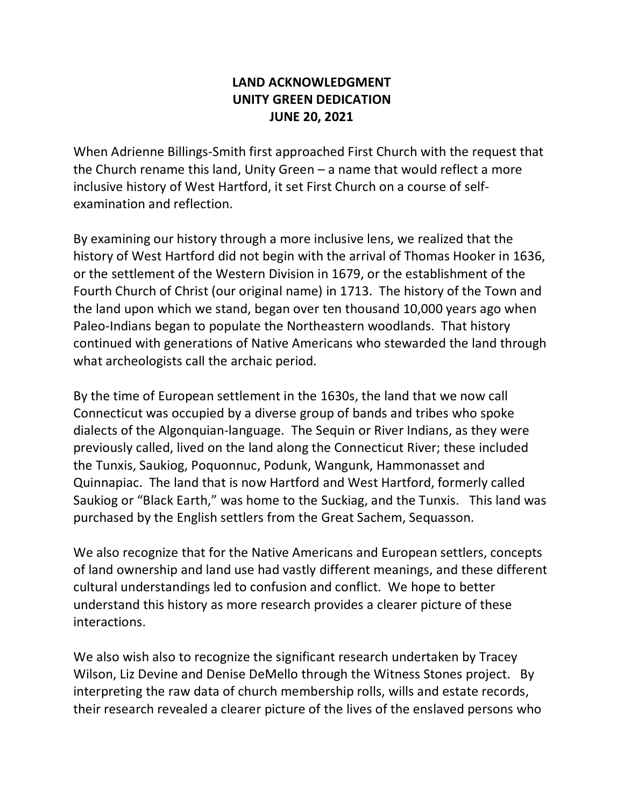## **LAND ACKNOWLEDGMENT UNITY GREEN DEDICATION JUNE 20, 2021**

When Adrienne Billings-Smith first approached First Church with the request that the Church rename this land, Unity Green – a name that would reflect a more inclusive history of West Hartford, it set First Church on a course of selfexamination and reflection.

By examining our history through a more inclusive lens, we realized that the history of West Hartford did not begin with the arrival of Thomas Hooker in 1636, or the settlement of the Western Division in 1679, or the establishment of the Fourth Church of Christ (our original name) in 1713. The history of the Town and the land upon which we stand, began over ten thousand 10,000 years ago when Paleo-Indians began to populate the Northeastern woodlands. That history continued with generations of Native Americans who stewarded the land through what archeologists call the archaic period.

By the time of European settlement in the 1630s, the land that we now call Connecticut was occupied by a diverse group of bands and tribes who spoke dialects of the Algonquian-language. The Sequin or River Indians, as they were previously called, lived on the land along the Connecticut River; these included the Tunxis, Saukiog, Poquonnuc, Podunk, Wangunk, Hammonasset and Quinnapiac. The land that is now Hartford and West Hartford, formerly called Saukiog or "Black Earth," was home to the Suckiag, and the Tunxis. This land was purchased by the English settlers from the Great Sachem, Sequasson.

We also recognize that for the Native Americans and European settlers, concepts of land ownership and land use had vastly different meanings, and these different cultural understandings led to confusion and conflict. We hope to better understand this history as more research provides a clearer picture of these interactions.

We also wish also to recognize the significant research undertaken by Tracey Wilson, Liz Devine and Denise DeMello through the Witness Stones project. By interpreting the raw data of church membership rolls, wills and estate records, their research revealed a clearer picture of the lives of the enslaved persons who